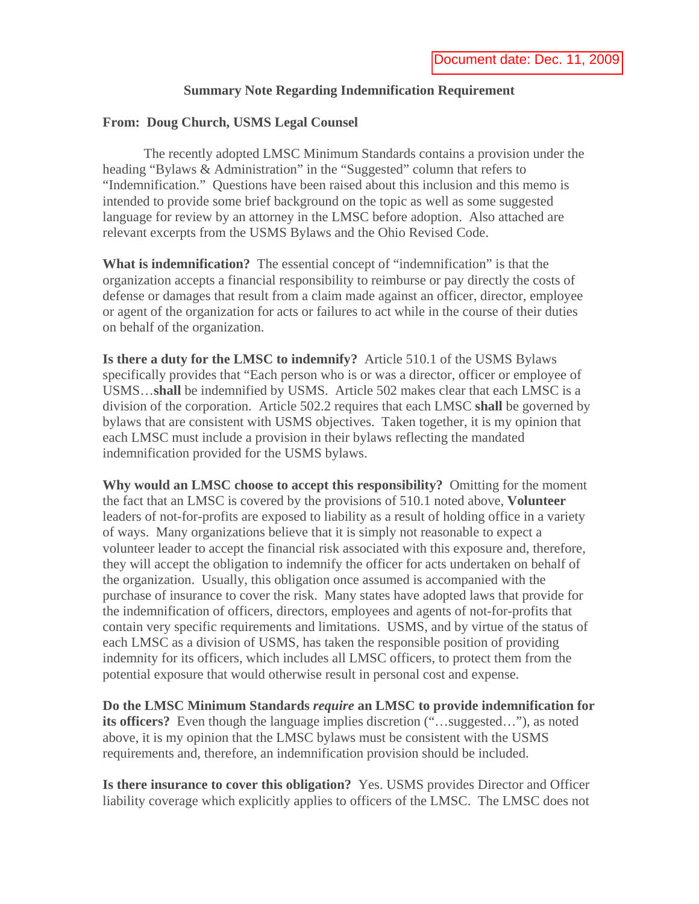## **Summary Note Regarding Indemnification Requirement**

#### **From: Doug Church, USMS Legal Counsel**

 The recently adopted LMSC Minimum Standards contains a provision under the heading "Bylaws & Administration" in the "Suggested" column that refers to "Indemnification." Questions have been raised about this inclusion and this memo is intended to provide some brief background on the topic as well as some suggested language for review by an attorney in the LMSC before adoption. Also attached are relevant excerpts from the USMS Bylaws and the Ohio Revised Code.

**What is indemnification?** The essential concept of "indemnification" is that the organization accepts a financial responsibility to reimburse or pay directly the costs of defense or damages that result from a claim made against an officer, director, employee or agent of the organization for acts or failures to act while in the course of their duties on behalf of the organization.

**Is there a duty for the LMSC to indemnify?** Article 510.1 of the USMS Bylaws specifically provides that "Each person who is or was a director, officer or employee of USMS…**shall** be indemnified by USMS. Article 502 makes clear that each LMSC is a division of the corporation. Article 502.2 requires that each LMSC **shall** be governed by bylaws that are consistent with USMS objectives. Taken together, it is my opinion that each LMSC must include a provision in their bylaws reflecting the mandated indemnification provided for the USMS bylaws.

**Why would an LMSC choose to accept this responsibility?** Omitting for the moment the fact that an LMSC is covered by the provisions of 510.1 noted above, **Volunteer** leaders of not-for-profits are exposed to liability as a result of holding office in a variety of ways. Many organizations believe that it is simply not reasonable to expect a volunteer leader to accept the financial risk associated with this exposure and, therefore, they will accept the obligation to indemnify the officer for acts undertaken on behalf of the organization. Usually, this obligation once assumed is accompanied with the purchase of insurance to cover the risk. Many states have adopted laws that provide for the indemnification of officers, directors, employees and agents of not-for-profits that contain very specific requirements and limitations. USMS, and by virtue of the status of each LMSC as a division of USMS, has taken the responsible position of providing indemnity for its officers, which includes all LMSC officers, to protect them from the potential exposure that would otherwise result in personal cost and expense.

**Do the LMSC Minimum Standards** *require* **an LMSC to provide indemnification for its officers?** Even though the language implies discretion ("...suggested..."), as noted above, it is my opinion that the LMSC bylaws must be consistent with the USMS requirements and, therefore, an indemnification provision should be included.

**Is there insurance to cover this obligation?** Yes. USMS provides Director and Officer liability coverage which explicitly applies to officers of the LMSC. The LMSC does not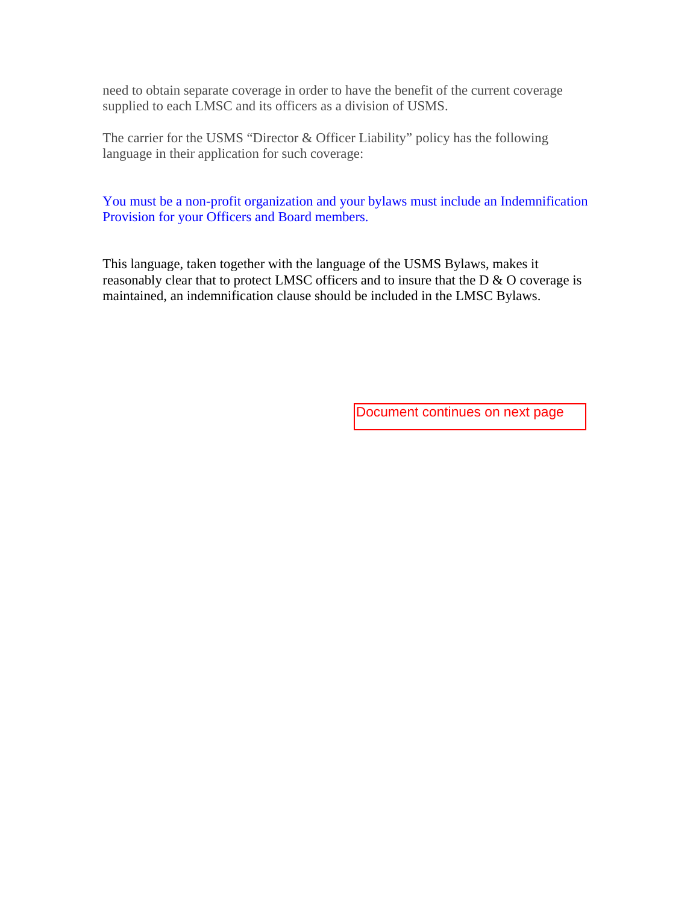need to obtain separate coverage in order to have the benefit of the current coverage supplied to each LMSC and its officers as a division of USMS.

The carrier for the USMS "Director & Officer Liability" policy has the following language in their application for such coverage:

You must be a non-profit organization and your bylaws must include an Indemnification Provision for your Officers and Board members.

This language, taken together with the language of the USMS Bylaws, makes it reasonably clear that to protect LMSC officers and to insure that the D & O coverage is maintained, an indemnification clause should be included in the LMSC Bylaws.

Document continues on next page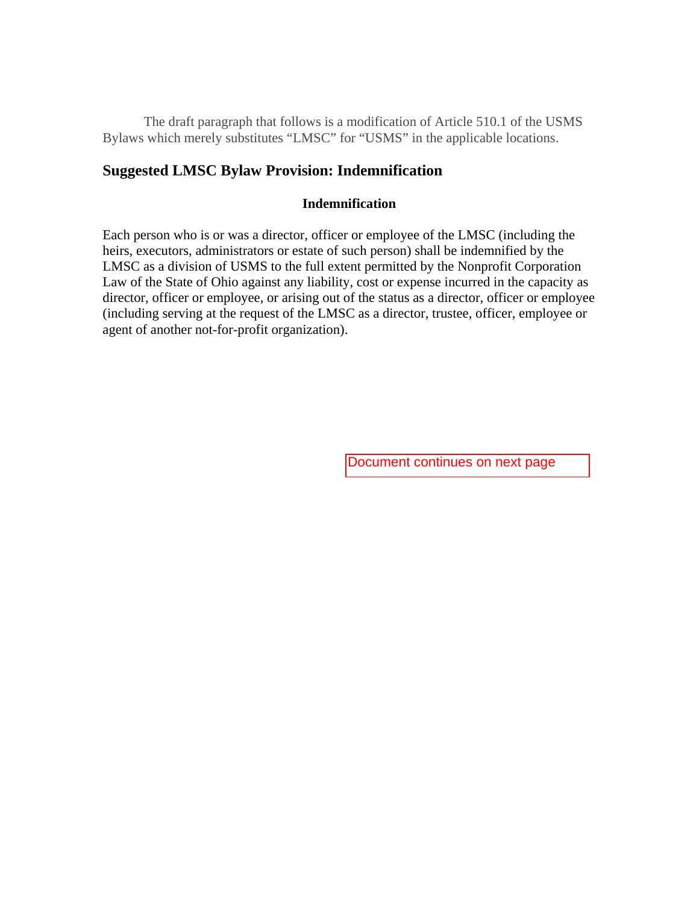The draft paragraph that follows is a modification of Article 510.1 of the USMS Bylaws which merely substitutes "LMSC" for "USMS" in the applicable locations.

# **Suggested LMSC Bylaw Provision: Indemnification**

### **Indemnification**

Each person who is or was a director, officer or employee of the LMSC (including the heirs, executors, administrators or estate of such person) shall be indemnified by the LMSC as a division of USMS to the full extent permitted by the Nonprofit Corporation Law of the State of Ohio against any liability, cost or expense incurred in the capacity as director, officer or employee, or arising out of the status as a director, officer or employee (including serving at the request of the LMSC as a director, trustee, officer, employee or agent of another not-for-profit organization).

Document continues on next page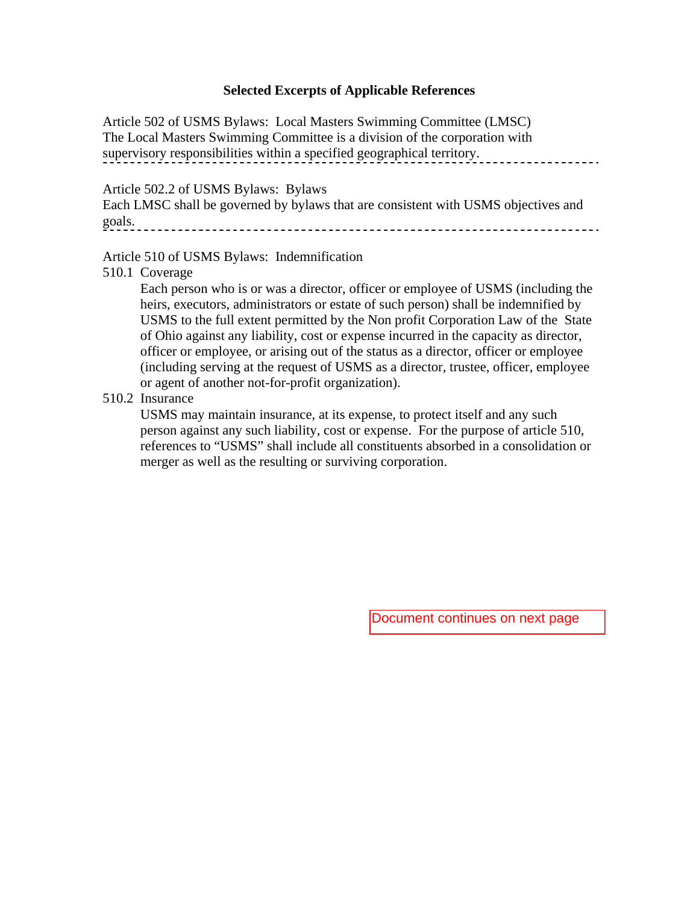#### **Selected Excerpts of Applicable References**

Article 502 of USMS Bylaws: Local Masters Swimming Committee (LMSC) The Local Masters Swimming Committee is a division of the corporation with supervisory responsibilities within a specified geographical territory. . . . . . . . . . . . . . . . .

Article 502.2 of USMS Bylaws: Bylaws

Each LMSC shall be governed by bylaws that are consistent with USMS objectives and goals. 

Article 510 of USMS Bylaws: Indemnification

510.1 Coverage

Each person who is or was a director, officer or employee of USMS (including the heirs, executors, administrators or estate of such person) shall be indemnified by USMS to the full extent permitted by the Non profit Corporation Law of the State of Ohio against any liability, cost or expense incurred in the capacity as director, officer or employee, or arising out of the status as a director, officer or employee (including serving at the request of USMS as a director, trustee, officer, employee or agent of another not-for-profit organization).

### 510.2 Insurance

USMS may maintain insurance, at its expense, to protect itself and any such person against any such liability, cost or expense. For the purpose of article 510, references to "USMS" shall include all constituents absorbed in a consolidation or merger as well as the resulting or surviving corporation.

Document continues on next page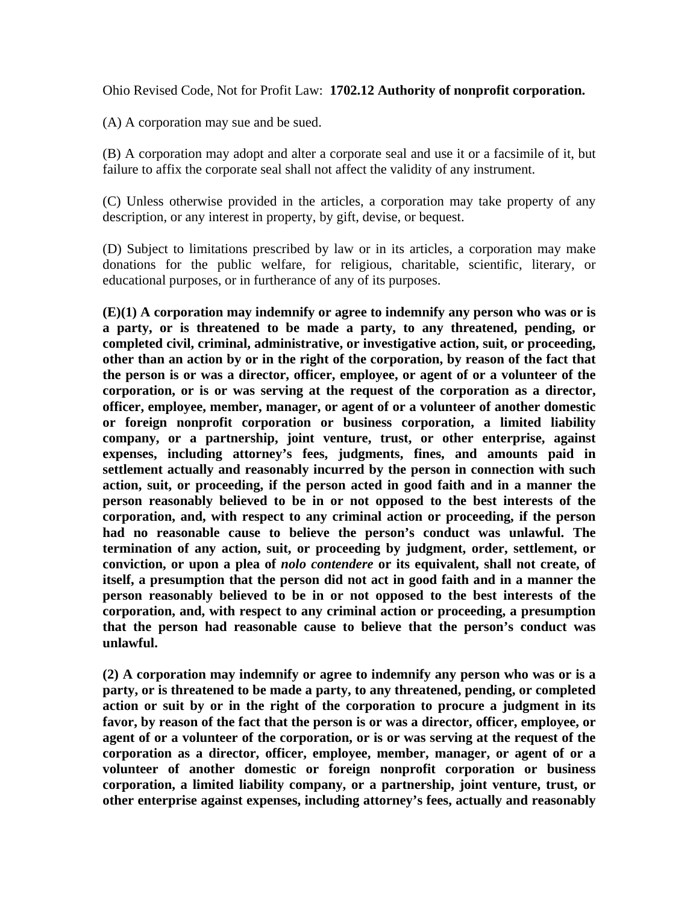Ohio Revised Code, Not for Profit Law: **1702.12 Authority of nonprofit corporation.** 

(A) A corporation may sue and be sued.

(B) A corporation may adopt and alter a corporate seal and use it or a facsimile of it, but failure to affix the corporate seal shall not affect the validity of any instrument.

(C) Unless otherwise provided in the articles, a corporation may take property of any description, or any interest in property, by gift, devise, or bequest.

(D) Subject to limitations prescribed by law or in its articles, a corporation may make donations for the public welfare, for religious, charitable, scientific, literary, or educational purposes, or in furtherance of any of its purposes.

**(E)(1) A corporation may indemnify or agree to indemnify any person who was or is a party, or is threatened to be made a party, to any threatened, pending, or completed civil, criminal, administrative, or investigative action, suit, or proceeding, other than an action by or in the right of the corporation, by reason of the fact that the person is or was a director, officer, employee, or agent of or a volunteer of the corporation, or is or was serving at the request of the corporation as a director, officer, employee, member, manager, or agent of or a volunteer of another domestic or foreign nonprofit corporation or business corporation, a limited liability company, or a partnership, joint venture, trust, or other enterprise, against expenses, including attorney's fees, judgments, fines, and amounts paid in settlement actually and reasonably incurred by the person in connection with such action, suit, or proceeding, if the person acted in good faith and in a manner the person reasonably believed to be in or not opposed to the best interests of the corporation, and, with respect to any criminal action or proceeding, if the person had no reasonable cause to believe the person's conduct was unlawful. The termination of any action, suit, or proceeding by judgment, order, settlement, or conviction, or upon a plea of** *nolo contendere* **or its equivalent, shall not create, of itself, a presumption that the person did not act in good faith and in a manner the person reasonably believed to be in or not opposed to the best interests of the corporation, and, with respect to any criminal action or proceeding, a presumption that the person had reasonable cause to believe that the person's conduct was unlawful.** 

**(2) A corporation may indemnify or agree to indemnify any person who was or is a party, or is threatened to be made a party, to any threatened, pending, or completed action or suit by or in the right of the corporation to procure a judgment in its favor, by reason of the fact that the person is or was a director, officer, employee, or agent of or a volunteer of the corporation, or is or was serving at the request of the corporation as a director, officer, employee, member, manager, or agent of or a volunteer of another domestic or foreign nonprofit corporation or business corporation, a limited liability company, or a partnership, joint venture, trust, or other enterprise against expenses, including attorney's fees, actually and reasonably**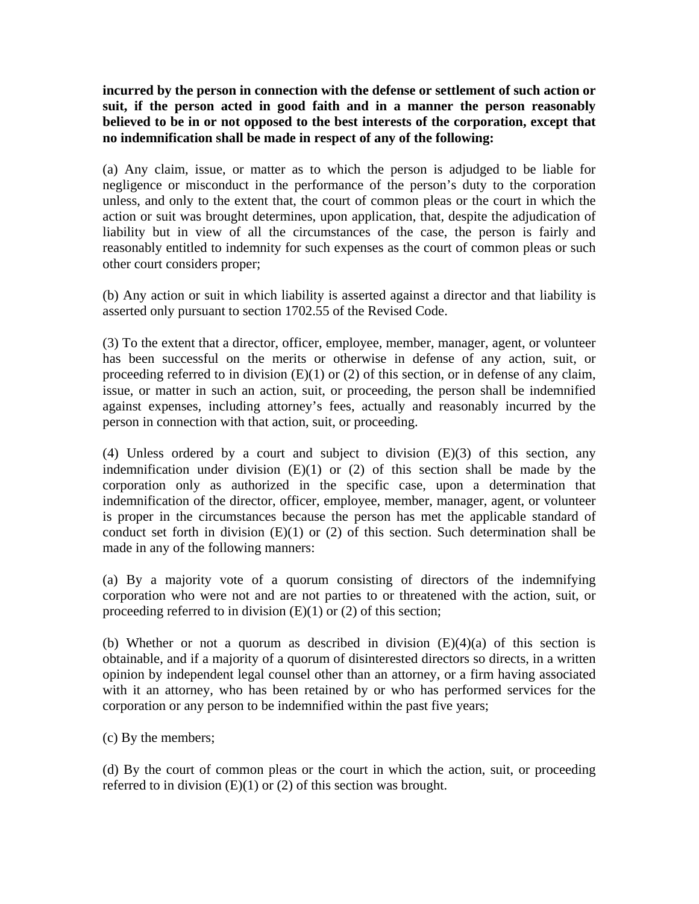**incurred by the person in connection with the defense or settlement of such action or suit, if the person acted in good faith and in a manner the person reasonably believed to be in or not opposed to the best interests of the corporation, except that no indemnification shall be made in respect of any of the following:** 

(a) Any claim, issue, or matter as to which the person is adjudged to be liable for negligence or misconduct in the performance of the person's duty to the corporation unless, and only to the extent that, the court of common pleas or the court in which the action or suit was brought determines, upon application, that, despite the adjudication of liability but in view of all the circumstances of the case, the person is fairly and reasonably entitled to indemnity for such expenses as the court of common pleas or such other court considers proper;

(b) Any action or suit in which liability is asserted against a director and that liability is asserted only pursuant to section 1702.55 of the Revised Code.

(3) To the extent that a director, officer, employee, member, manager, agent, or volunteer has been successful on the merits or otherwise in defense of any action, suit, or proceeding referred to in division  $(E)(1)$  or  $(2)$  of this section, or in defense of any claim, issue, or matter in such an action, suit, or proceeding, the person shall be indemnified against expenses, including attorney's fees, actually and reasonably incurred by the person in connection with that action, suit, or proceeding.

(4) Unless ordered by a court and subject to division (E)(3) of this section, any indemnification under division  $(E)(1)$  or  $(2)$  of this section shall be made by the corporation only as authorized in the specific case, upon a determination that indemnification of the director, officer, employee, member, manager, agent, or volunteer is proper in the circumstances because the person has met the applicable standard of conduct set forth in division (E)(1) or (2) of this section. Such determination shall be made in any of the following manners:

(a) By a majority vote of a quorum consisting of directors of the indemnifying corporation who were not and are not parties to or threatened with the action, suit, or proceeding referred to in division  $(E)(1)$  or  $(2)$  of this section;

(b) Whether or not a quorum as described in division  $(E)(4)(a)$  of this section is obtainable, and if a majority of a quorum of disinterested directors so directs, in a written opinion by independent legal counsel other than an attorney, or a firm having associated with it an attorney, who has been retained by or who has performed services for the corporation or any person to be indemnified within the past five years;

(c) By the members;

(d) By the court of common pleas or the court in which the action, suit, or proceeding referred to in division  $(E)(1)$  or  $(2)$  of this section was brought.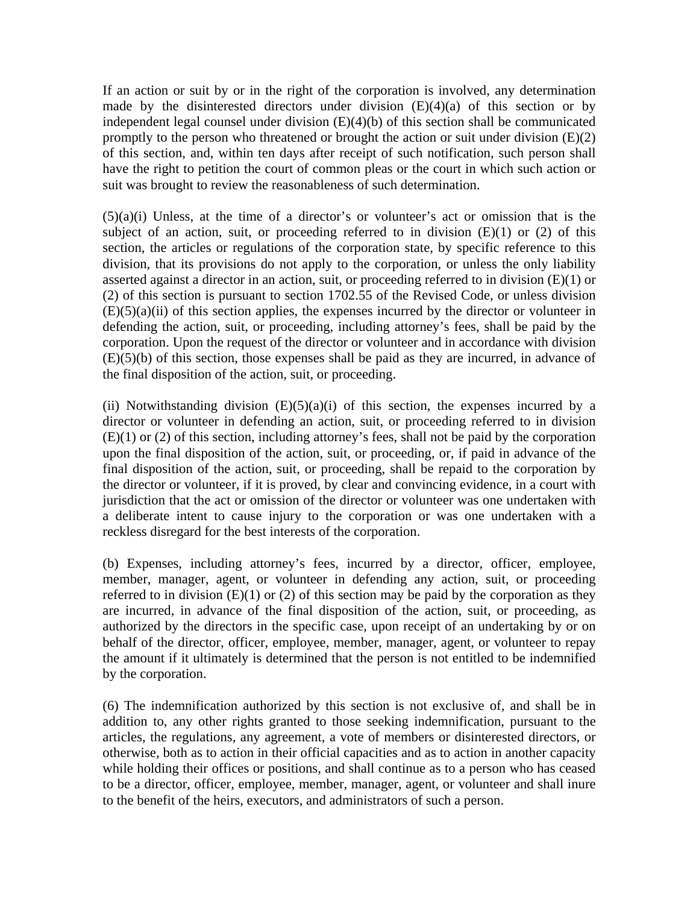If an action or suit by or in the right of the corporation is involved, any determination made by the disinterested directors under division  $(E)(4)(a)$  of this section or by independent legal counsel under division (E)(4)(b) of this section shall be communicated promptly to the person who threatened or brought the action or suit under division (E)(2) of this section, and, within ten days after receipt of such notification, such person shall have the right to petition the court of common pleas or the court in which such action or suit was brought to review the reasonableness of such determination.

 $(5)(a)(i)$  Unless, at the time of a director's or volunteer's act or omission that is the subject of an action, suit, or proceeding referred to in division  $(E)(1)$  or  $(2)$  of this section, the articles or regulations of the corporation state, by specific reference to this division, that its provisions do not apply to the corporation, or unless the only liability asserted against a director in an action, suit, or proceeding referred to in division (E)(1) or (2) of this section is pursuant to section 1702.55 of the Revised Code, or unless division  $(E)(5)(a)(ii)$  of this section applies, the expenses incurred by the director or volunteer in defending the action, suit, or proceeding, including attorney's fees, shall be paid by the corporation. Upon the request of the director or volunteer and in accordance with division (E)(5)(b) of this section, those expenses shall be paid as they are incurred, in advance of the final disposition of the action, suit, or proceeding.

(ii) Notwithstanding division  $(E)(5)(a)(i)$  of this section, the expenses incurred by a director or volunteer in defending an action, suit, or proceeding referred to in division (E)(1) or (2) of this section, including attorney's fees, shall not be paid by the corporation upon the final disposition of the action, suit, or proceeding, or, if paid in advance of the final disposition of the action, suit, or proceeding, shall be repaid to the corporation by the director or volunteer, if it is proved, by clear and convincing evidence, in a court with jurisdiction that the act or omission of the director or volunteer was one undertaken with a deliberate intent to cause injury to the corporation or was one undertaken with a reckless disregard for the best interests of the corporation.

(b) Expenses, including attorney's fees, incurred by a director, officer, employee, member, manager, agent, or volunteer in defending any action, suit, or proceeding referred to in division  $(E)(1)$  or  $(2)$  of this section may be paid by the corporation as they are incurred, in advance of the final disposition of the action, suit, or proceeding, as authorized by the directors in the specific case, upon receipt of an undertaking by or on behalf of the director, officer, employee, member, manager, agent, or volunteer to repay the amount if it ultimately is determined that the person is not entitled to be indemnified by the corporation.

(6) The indemnification authorized by this section is not exclusive of, and shall be in addition to, any other rights granted to those seeking indemnification, pursuant to the articles, the regulations, any agreement, a vote of members or disinterested directors, or otherwise, both as to action in their official capacities and as to action in another capacity while holding their offices or positions, and shall continue as to a person who has ceased to be a director, officer, employee, member, manager, agent, or volunteer and shall inure to the benefit of the heirs, executors, and administrators of such a person.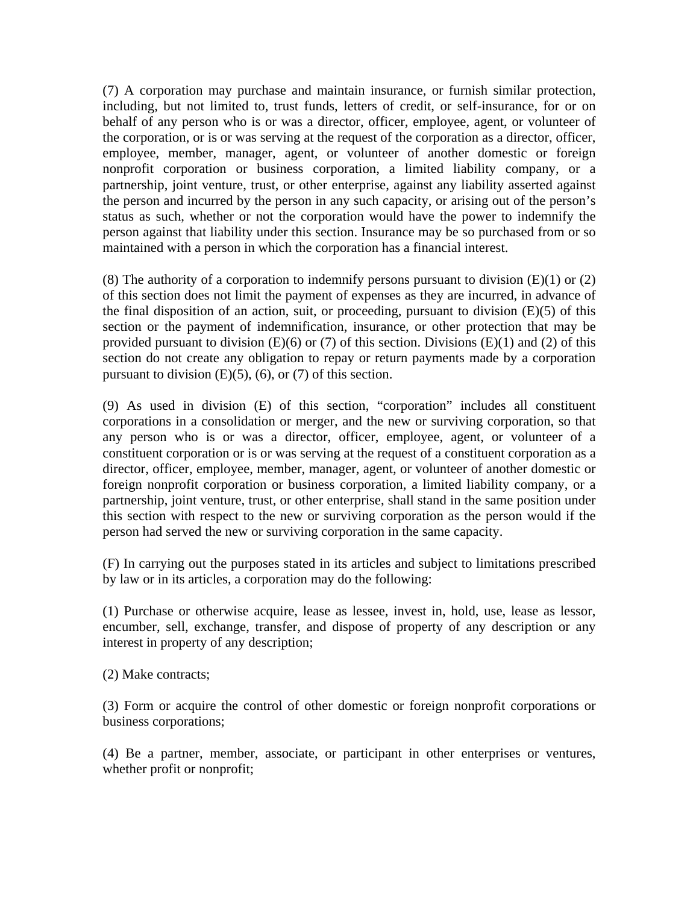(7) A corporation may purchase and maintain insurance, or furnish similar protection, including, but not limited to, trust funds, letters of credit, or self-insurance, for or on behalf of any person who is or was a director, officer, employee, agent, or volunteer of the corporation, or is or was serving at the request of the corporation as a director, officer, employee, member, manager, agent, or volunteer of another domestic or foreign nonprofit corporation or business corporation, a limited liability company, or a partnership, joint venture, trust, or other enterprise, against any liability asserted against the person and incurred by the person in any such capacity, or arising out of the person's status as such, whether or not the corporation would have the power to indemnify the person against that liability under this section. Insurance may be so purchased from or so maintained with a person in which the corporation has a financial interest.

(8) The authority of a corporation to indemnify persons pursuant to division  $(E)(1)$  or  $(2)$ of this section does not limit the payment of expenses as they are incurred, in advance of the final disposition of an action, suit, or proceeding, pursuant to division  $(E)(5)$  of this section or the payment of indemnification, insurance, or other protection that may be provided pursuant to division  $(E)(6)$  or  $(7)$  of this section. Divisions  $(E)(1)$  and  $(2)$  of this section do not create any obligation to repay or return payments made by a corporation pursuant to division  $(E)(5)$ ,  $(6)$ , or  $(7)$  of this section.

(9) As used in division (E) of this section, "corporation" includes all constituent corporations in a consolidation or merger, and the new or surviving corporation, so that any person who is or was a director, officer, employee, agent, or volunteer of a constituent corporation or is or was serving at the request of a constituent corporation as a director, officer, employee, member, manager, agent, or volunteer of another domestic or foreign nonprofit corporation or business corporation, a limited liability company, or a partnership, joint venture, trust, or other enterprise, shall stand in the same position under this section with respect to the new or surviving corporation as the person would if the person had served the new or surviving corporation in the same capacity.

(F) In carrying out the purposes stated in its articles and subject to limitations prescribed by law or in its articles, a corporation may do the following:

(1) Purchase or otherwise acquire, lease as lessee, invest in, hold, use, lease as lessor, encumber, sell, exchange, transfer, and dispose of property of any description or any interest in property of any description;

(2) Make contracts;

(3) Form or acquire the control of other domestic or foreign nonprofit corporations or business corporations;

(4) Be a partner, member, associate, or participant in other enterprises or ventures, whether profit or nonprofit;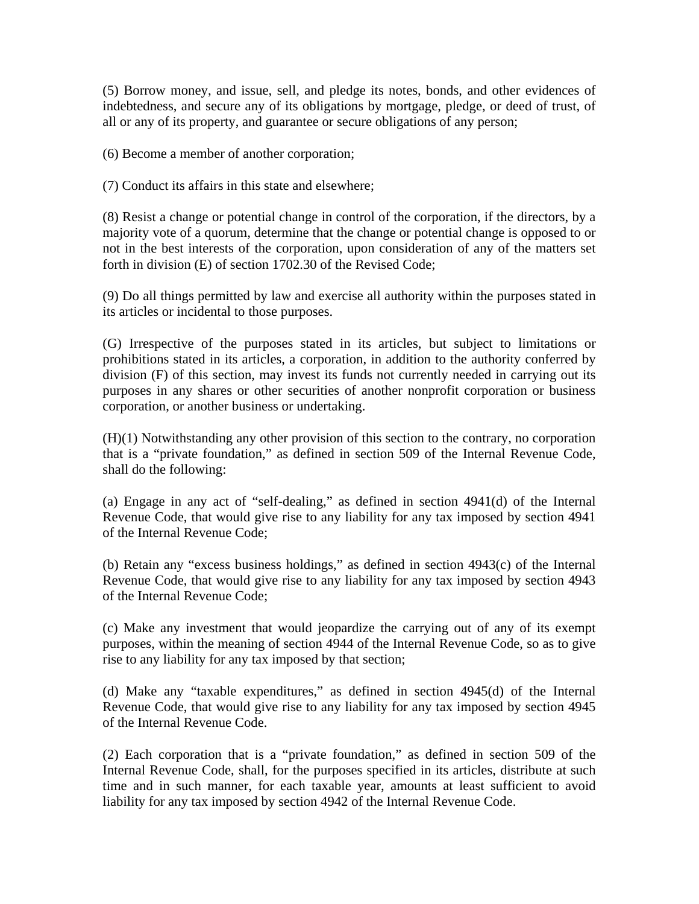(5) Borrow money, and issue, sell, and pledge its notes, bonds, and other evidences of indebtedness, and secure any of its obligations by mortgage, pledge, or deed of trust, of all or any of its property, and guarantee or secure obligations of any person;

(6) Become a member of another corporation;

(7) Conduct its affairs in this state and elsewhere;

(8) Resist a change or potential change in control of the corporation, if the directors, by a majority vote of a quorum, determine that the change or potential change is opposed to or not in the best interests of the corporation, upon consideration of any of the matters set forth in division (E) of section 1702.30 of the Revised Code;

(9) Do all things permitted by law and exercise all authority within the purposes stated in its articles or incidental to those purposes.

(G) Irrespective of the purposes stated in its articles, but subject to limitations or prohibitions stated in its articles, a corporation, in addition to the authority conferred by division (F) of this section, may invest its funds not currently needed in carrying out its purposes in any shares or other securities of another nonprofit corporation or business corporation, or another business or undertaking.

(H)(1) Notwithstanding any other provision of this section to the contrary, no corporation that is a "private foundation," as defined in section 509 of the Internal Revenue Code, shall do the following:

(a) Engage in any act of "self-dealing," as defined in section 4941(d) of the Internal Revenue Code, that would give rise to any liability for any tax imposed by section 4941 of the Internal Revenue Code;

(b) Retain any "excess business holdings," as defined in section 4943(c) of the Internal Revenue Code, that would give rise to any liability for any tax imposed by section 4943 of the Internal Revenue Code;

(c) Make any investment that would jeopardize the carrying out of any of its exempt purposes, within the meaning of section 4944 of the Internal Revenue Code, so as to give rise to any liability for any tax imposed by that section;

(d) Make any "taxable expenditures," as defined in section 4945(d) of the Internal Revenue Code, that would give rise to any liability for any tax imposed by section 4945 of the Internal Revenue Code.

(2) Each corporation that is a "private foundation," as defined in section 509 of the Internal Revenue Code, shall, for the purposes specified in its articles, distribute at such time and in such manner, for each taxable year, amounts at least sufficient to avoid liability for any tax imposed by section 4942 of the Internal Revenue Code.